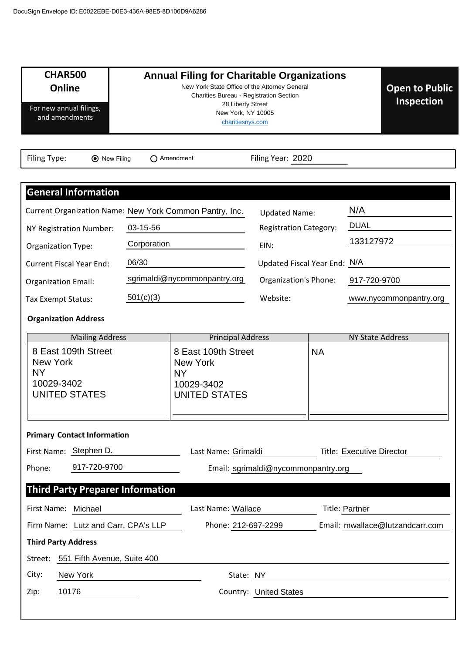| <b>CHAR500</b>                                                                            |                                                                                                                             |                                                                                           |                                     |           |                                  |
|-------------------------------------------------------------------------------------------|-----------------------------------------------------------------------------------------------------------------------------|-------------------------------------------------------------------------------------------|-------------------------------------|-----------|----------------------------------|
| Online                                                                                    | <b>Annual Filing for Charitable Organizations</b><br>New York State Office of the Attorney General<br><b>Open to Public</b> |                                                                                           |                                     |           |                                  |
| For new annual filings,<br>and amendments                                                 | Charities Bureau - Registration Section<br>Inspection<br>28 Liberty Street<br>New York, NY 10005<br>charitiesnys.com        |                                                                                           |                                     |           |                                  |
| Filing Type:<br><b>⊙</b> New Filing                                                       |                                                                                                                             | $\bigcap$ Amendment                                                                       | Filing Year: 2020                   |           |                                  |
|                                                                                           |                                                                                                                             |                                                                                           |                                     |           |                                  |
| <b>General Information</b>                                                                |                                                                                                                             |                                                                                           |                                     |           |                                  |
| Current Organization Name: New York Common Pantry, Inc.                                   |                                                                                                                             |                                                                                           | <b>Updated Name:</b>                |           | N/A                              |
| NY Registration Number:                                                                   | 03-15-56                                                                                                                    |                                                                                           | <b>Registration Category:</b>       |           | <b>DUAL</b>                      |
| <b>Organization Type:</b>                                                                 | Corporation                                                                                                                 |                                                                                           | EIN:                                |           | 133127972                        |
| <b>Current Fiscal Year End:</b>                                                           | 06/30                                                                                                                       |                                                                                           | Updated Fiscal Year End: N/A        |           |                                  |
| <b>Organization Email:</b>                                                                |                                                                                                                             | sgrimaldi@nycommonpantry.org                                                              | Organization's Phone:               |           | 917-720-9700                     |
| Tax Exempt Status:                                                                        | 501(c)(3)                                                                                                                   |                                                                                           | Website:                            |           | www.nycommonpantry.org           |
| <b>Organization Address</b>                                                               |                                                                                                                             |                                                                                           |                                     |           |                                  |
| <b>Mailing Address</b>                                                                    |                                                                                                                             | <b>Principal Address</b>                                                                  |                                     |           | <b>NY State Address</b>          |
| 8 East 109th Street<br><b>New York</b><br><b>NY</b><br>10029-3402<br><b>UNITED STATES</b> |                                                                                                                             | 8 East 109th Street<br><b>New York</b><br><b>NY</b><br>10029-3402<br><b>UNITED STATES</b> |                                     | <b>NA</b> |                                  |
| <b>Primary Contact Information</b>                                                        |                                                                                                                             |                                                                                           |                                     |           |                                  |
| First Name: Stephen D.                                                                    |                                                                                                                             | Last Name: Grimaldi                                                                       |                                     |           | <b>Title: Executive Director</b> |
| 917-720-9700<br>Phone:                                                                    |                                                                                                                             |                                                                                           | Email: sgrimaldi@nycommonpantry.org |           |                                  |
| <b>Third Party Preparer Information</b>                                                   |                                                                                                                             |                                                                                           |                                     |           |                                  |
|                                                                                           |                                                                                                                             |                                                                                           |                                     |           |                                  |
| First Name: Michael                                                                       |                                                                                                                             | Last Name: Wallace                                                                        |                                     |           | Title: Partner                   |
| Firm Name: Lutz and Carr, CPA's LLP                                                       |                                                                                                                             | Phone: 212-697-2299                                                                       |                                     |           | Email: mwallace@lutzandcarr.com  |
| <b>Third Party Address</b>                                                                |                                                                                                                             |                                                                                           |                                     |           |                                  |
| 551 Fifth Avenue, Suite 400<br>Street:<br>City:<br>New York                               |                                                                                                                             | State: NY                                                                                 |                                     |           |                                  |
| 10176<br>Zip:                                                                             |                                                                                                                             |                                                                                           | <b>Country: United States</b>       |           |                                  |
|                                                                                           |                                                                                                                             |                                                                                           |                                     |           |                                  |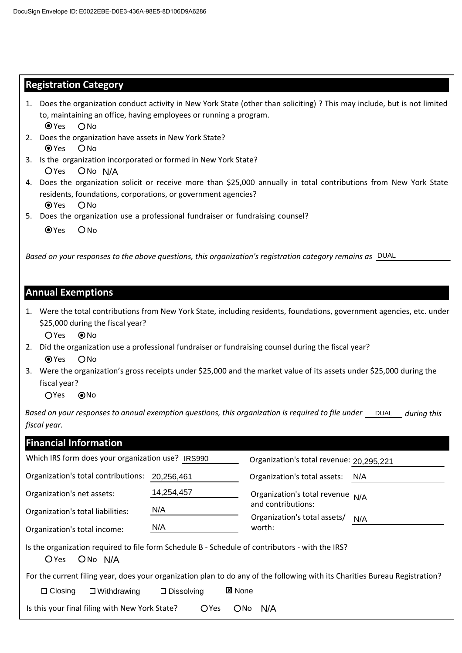### **Registration Category**

| 1. Does the organization conduct activity in New York State (other than soliciting)? This may include, but is not limited |  |
|---------------------------------------------------------------------------------------------------------------------------|--|
| to, maintaining an office, having employees or running a program.                                                         |  |
| $\bullet$ Yes<br><b>ONO</b>                                                                                               |  |

- 2. Does the organization have assets in New York State? OYes ONo
- OYes ONo N/A 3. Is the organization incorporated or formed in New York State?
- 4. Does the organization solicit or receive more than \$25,000 annually in total contributions from New York State residents, foundations, corporations, or government agencies? O Yes O No N/A<br>ation solicit or receive more than \$25,000 annually in total contributions from N<br>ions, corporations, or government agencies?<br>tion use a professional fundraiser or fundraising counsel?<br>es to the above auestions, this o
- 5. Does the organization use a professional fundraiser or fundraising counsel?
	- $QYes$   $ONo$

*Based on your responses to the above questions, this organization's registration category remains as*

#### **Annual Exemptions**

1. Were the total contributions from New York State, including residents, foundations, government agencies, etc. under \$25,000 during the fiscal year?

OYes ONo

- 2. Did the organization use a professional fundraiser or fundraising counsel during the fiscal year? OYes ONo
- 3. Were the organization's gross receipts under \$25,000 and the market value of its assets under \$25,000 during the fiscal year?

OYes ONo

Based on your responses to annual exemption questions, this organization is required to file under \_\_\_DUAL\_\_\_ during this *fiscal year.*

| <b>Financial Information</b>                                                                                                    |                                       |                                          |     |
|---------------------------------------------------------------------------------------------------------------------------------|---------------------------------------|------------------------------------------|-----|
| Which IRS form does your organization use? IRS990                                                                               |                                       | Organization's total revenue: 20,295,221 |     |
| Organization's total contributions:<br>20,256,461                                                                               |                                       | Organization's total assets:             | N/A |
| Organization's net assets:                                                                                                      | 14,254,457                            | Organization's total revenue             | N/A |
| Organization's total liabilities:                                                                                               | N/A                                   | and contributions:                       |     |
| Organization's total income:                                                                                                    | N/A                                   | Organization's total assets/<br>worth:   | N/A |
| Is the organization required to file form Schedule B - Schedule of contributors - with the IRS?<br>O Yes<br>ON <sub>o</sub> N/A |                                       |                                          |     |
| For the current filing year, does your organization plan to do any of the following with its Charities Bureau Registration?     |                                       |                                          |     |
| $\Box$ Closing<br>$\square$ Withdrawing                                                                                         | <b>図 None</b><br>$\square$ Dissolving |                                          |     |
| Is this your final filing with New York State?<br><b>O</b> Yes<br>$O$ No<br>N/A                                                 |                                       |                                          |     |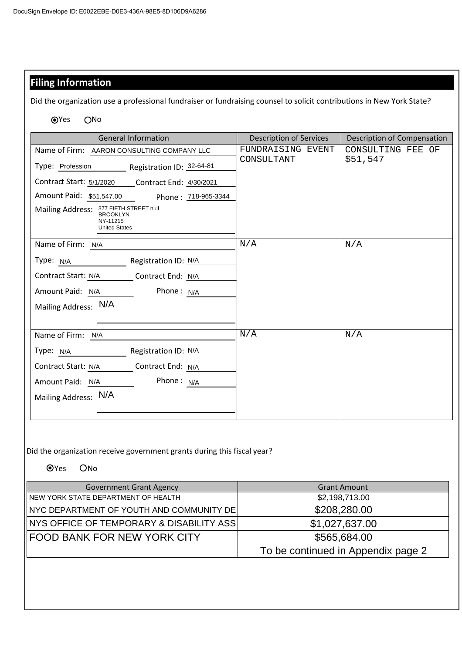## **Filing Information**

Did the organization use a professional fundraiser or fundraising counsel to solicit contributions in New York State?

●Yes ONo

| <b>General Information</b>                                                                                                                                                                              | <b>Description of Services</b>  | Description of Compensation   |  |
|---------------------------------------------------------------------------------------------------------------------------------------------------------------------------------------------------------|---------------------------------|-------------------------------|--|
| Name of Firm: AARON CONSULTING COMPANY LLC<br>Type: Profession Registration ID: 32-64-81                                                                                                                | FUNDRAISING EVENT<br>CONSULTANT | CONSULTING FEE OF<br>\$51,547 |  |
| Contract Start: 5/1/2020 _____ Contract End: 4/30/2021<br>Amount Paid: \$51,547.00 Phone: 718-965-3344<br>Mailing Address: 377 FIFTH STREET null<br><b>BROOKLYN</b><br>NY-11215<br><b>United States</b> |                                 |                               |  |
| Name of Firm: N/A<br>Туре: <u>N/A страна по стал</u><br>Registration ID: N/A<br>Contract Start: N/A _________ Contract End: N/A<br>Phone: $N/A$<br>Amount Paid: N/A<br>Mailing Address: N/A             | N/A                             | N/A                           |  |
| Name of Firm: N/A<br>Registration ID: N/A<br>Type: N/A<br>Contract End: N/A<br>Contract Start: N/A<br>Phone: $N/A$<br>Amount Paid: N/A<br>Mailing Address: N/A                                          | N/A                             | N/A                           |  |

Did the organization receive government grants during this fiscal year?

OYes ONo

| <b>Government Grant Agency</b>           | <b>Grant Amount</b>                |  |
|------------------------------------------|------------------------------------|--|
| NEW YORK STATE DEPARTMENT OF HEALTH      | \$2,198,713.00                     |  |
| NYC DEPARTMENT OF YOUTH AND COMMUNITY DE | \$208,280.00                       |  |
| NYS OFFICE OF TEMPORARY & DISABILITY ASS | \$1,027,637.00                     |  |
| FOOD BANK FOR NEW YORK CITY              | \$565,684.00                       |  |
|                                          | To be continued in Appendix page 2 |  |
|                                          |                                    |  |
|                                          |                                    |  |
|                                          |                                    |  |
|                                          |                                    |  |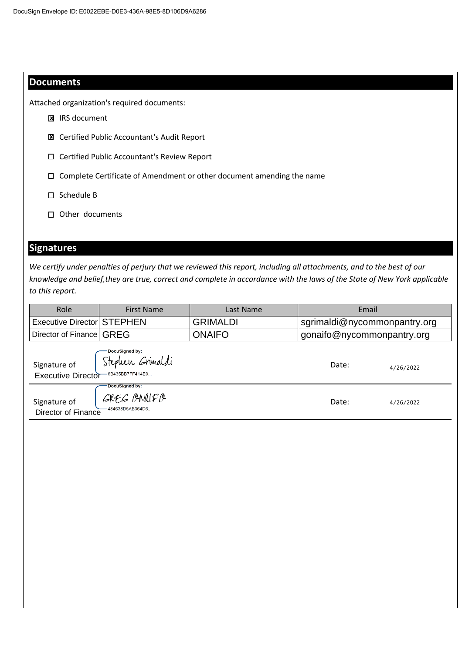### **Documents**

Attached organization's required documents:

- **E** IRS document
- Certified Public Accountant's Audit Report ✘
- Certified Public Accountant's Review Report
- Complete Certificate of Amendment or other document amending the name
- $\square$  Schedule B
- □ Other documents

# **Signatures**

| ⊠                                         | <b>IRS document</b>                                                   |                                                                                                                                                                                                                                                    |                              |           |  |
|-------------------------------------------|-----------------------------------------------------------------------|----------------------------------------------------------------------------------------------------------------------------------------------------------------------------------------------------------------------------------------------------|------------------------------|-----------|--|
| ⊠                                         | Certified Public Accountant's Audit Report                            |                                                                                                                                                                                                                                                    |                              |           |  |
| □                                         | Certified Public Accountant's Review Report                           |                                                                                                                                                                                                                                                    |                              |           |  |
| □                                         | Complete Certificate of Amendment or other document amending the name |                                                                                                                                                                                                                                                    |                              |           |  |
| Schedule B<br>□                           |                                                                       |                                                                                                                                                                                                                                                    |                              |           |  |
| Other documents                           |                                                                       |                                                                                                                                                                                                                                                    |                              |           |  |
|                                           |                                                                       |                                                                                                                                                                                                                                                    |                              |           |  |
| <b>Signatures</b>                         |                                                                       |                                                                                                                                                                                                                                                    |                              |           |  |
|                                           |                                                                       |                                                                                                                                                                                                                                                    |                              |           |  |
| to this report.                           |                                                                       | We certify under penalties of perjury that we reviewed this report, including all attachments, and to the best of our<br>knowledge and belief, they are true, correct and complete in accordance with the laws of the State of New York applicable |                              |           |  |
| Role                                      | <b>First Name</b>                                                     | Last Name                                                                                                                                                                                                                                          | Email                        |           |  |
| <b>Executive Director STEPHEN</b>         |                                                                       | <b>GRIMALDI</b>                                                                                                                                                                                                                                    | sgrimaldi@nycommonpantry.org |           |  |
| Director of Finance                       | <b>GREG</b>                                                           | <b>ONAIFO</b>                                                                                                                                                                                                                                      | gonaifo@nycommonpantry.org   |           |  |
| Signature of<br><b>Executive Director</b> | DocuSigned by:<br>Stephen Grimaldi<br>-6B435BB7FF414E0                |                                                                                                                                                                                                                                                    | Date:                        | 4/26/2022 |  |
| Signature of<br>Director of Finance       | DocuSigned by:<br>GREG OMUFO<br>-484638D5AB364D6.                     |                                                                                                                                                                                                                                                    | Date:                        | 4/26/2022 |  |